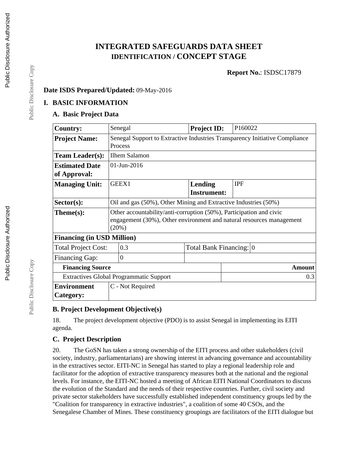# **INTEGRATED SAFEGUARDS DATA SHEET IDENTIFICATION / CONCEPT STAGE**

**Report No.**: ISDSC17879

#### **Date ISDS Prepared/Updated:** 09-May-2016

#### **I. BASIC INFORMATION**

#### **A. Basic Project Data**

| <b>Country:</b>                                | Senegal                                                                                                                                              | <b>Project ID:</b>      | P160022    |  |  |
|------------------------------------------------|------------------------------------------------------------------------------------------------------------------------------------------------------|-------------------------|------------|--|--|
| <b>Project Name:</b>                           | Senegal Support to Extractive Industries Transparency Initiative Compliance<br>Process                                                               |                         |            |  |  |
| <b>Team Leader(s):</b>                         | <b>Ilhem Salamon</b>                                                                                                                                 |                         |            |  |  |
| <b>Estimated Date</b>                          | $01$ -Jun-2016                                                                                                                                       |                         |            |  |  |
| of Approval:                                   |                                                                                                                                                      |                         |            |  |  |
| <b>Managing Unit:</b>                          | GEEX1                                                                                                                                                | Lending                 | <b>IPF</b> |  |  |
|                                                |                                                                                                                                                      | <b>Instrument:</b>      |            |  |  |
| $Sector(s)$ :                                  | Oil and gas (50%), Other Mining and Extractive Industries (50%)                                                                                      |                         |            |  |  |
| $Thene(s):$                                    | Other accountability/anti-corruption (50%), Participation and civic<br>engagement (30%), Other environment and natural resources management<br>(20%) |                         |            |  |  |
| <b>Financing (in USD Million)</b>              |                                                                                                                                                      |                         |            |  |  |
| <b>Total Project Cost:</b>                     | 0.3                                                                                                                                                  | Total Bank Financing: 0 |            |  |  |
| Financing Gap:                                 | $\theta$                                                                                                                                             |                         |            |  |  |
| <b>Financing Source</b>                        |                                                                                                                                                      |                         | Amount     |  |  |
| <b>Extractives Global Programmatic Support</b> |                                                                                                                                                      |                         | 0.3        |  |  |
| <b>Environment</b><br>Category:                | C - Not Required                                                                                                                                     |                         |            |  |  |

### **B. Project Development Objective(s)**

18. The project development objective (PDO) is to assist Senegal in implementing its EITI agenda.

### **C. Project Description**

20. The GoSN has taken a strong ownership of the EITI process and other stakeholders (civil society, industry, parliamentarians) are showing interest in advancing governance and accountability in the extractives sector. EITI-NC in Senegal has started to play a regional leadership role and facilitator for the adoption of extractive transparency measures both at the national and the regional levels. For instance, the EITI-NC hosted a meeting of African EITI National Coordinators to discuss the evolution of the Standard and the needs of their respective countries. Further, civil society and private sector stakeholders have successfully established independent constituency groups led by the "Coalition for transparency in extractive industries", a coalition of some 40 CSOs, and the Senegalese Chamber of Mines. These constituency groupings are facilitators of the EITI dialogue but

Public Disclosure Copy

Public Disclosure Copy

Public Disclosure Copy

Public Disclosure Copy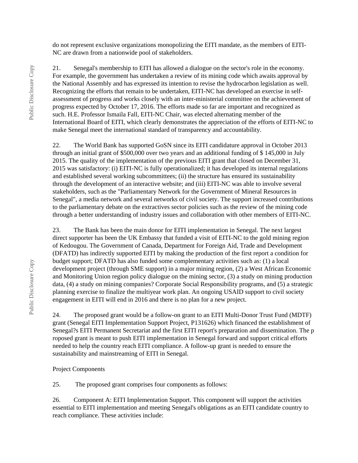do not represent exclusive organizations monopolizing the EITI mandate, as the members of EITI-NC are drawn from a nationwide pool of stakeholders.

21. Senegal's membership to EITI has allowed a dialogue on the sector's role in the economy. For example, the government has undertaken a review of its mining code which awaits approval by the National Assembly and has expressed its intention to revise the hydrocarbon legislation as well. Recognizing the efforts that remain to be undertaken, EITI-NC has developed an exercise in selfassessment of progress and works closely with an inter-ministerial committee on the achievement of progress expected by October 17, 2016. The efforts made so far are important and recognized as such. H.E. Professor Ismaila Fall, EITI-NC Chair, was elected alternating member of the International Board of EITI, which clearly demonstrates the appreciation of the efforts of EITI-NC to make Senegal meet the international standard of transparency and accountability.

22. The World Bank has supported GoSN since its EITI candidature approval in October 2013 through an initial grant of \$500,000 over two years and an additional funding of \$ 145,000 in July 2015. The quality of the implementation of the previous EITI grant that closed on December 31, 2015 was satisfactory: (i) EITI-NC is fully operationalized; it has developed its internal regulations and established several working subcommittees; (ii) the structure has ensured its sustainability through the development of an interactive website; and (iii) EITI-NC was able to involve several stakeholders, such as the "Parliamentary Network for the Government of Mineral Resources in Senegal", a media network and several networks of civil society. The support increased contributions to the parliamentary debate on the extractives sector policies such as the review of the mining code through a better understanding of industry issues and collaboration with other members of EITI-NC.

23. The Bank has been the main donor for EITI implementation in Senegal. The next largest direct supporter has been the UK Embassy that funded a visit of EITI-NC to the gold mining region of Kedougou. The Government of Canada, Department for Foreign Aid, Trade and Development (DFATD) has indirectly supported EITI by making the production of the first report a condition for budget support; DFATD has also funded some complementary activities such as: (1) a local development project (through SME support) in a major mining region, (2) a West African Economic and Monitoring Union region policy dialogue on the mining sector, (3) a study on mining production data, (4) a study on mining companies? Corporate Social Responsibility programs, and (5) a strategic planning exercise to finalize the multiyear work plan. An ongoing USAID support to civil society engagement in EITI will end in 2016 and there is no plan for a new project.

24. The proposed grant would be a follow-on grant to an EITI Multi-Donor Trust Fund (MDTF) grant (Senegal EITI Implementation Support Project, P131626) which financed the establishment of Senegal?s EITI Permanent Secretariat and the first EITI report's preparation and dissemination. The p roposed grant is meant to push EITI implementation in Senegal forward and support critical efforts needed to help the country reach EITI compliance. A follow-up grant is needed to ensure the sustainability and mainstreaming of EITI in Senegal.

Project Components

25. The proposed grant comprises four components as follows:

26. Component A: EITI Implementation Support. This component will support the activities essential to EITI implementation and meeting Senegal's obligations as an EITI candidate country to reach compliance. These activities include: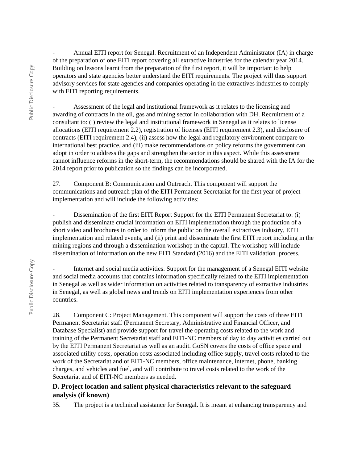Public Disclosure Copy Public Disclosure Copy

- Annual EITI report for Senegal. Recruitment of an Independent Administrator (IA) in charge of the preparation of one EITI report covering all extractive industries for the calendar year 2014. Building on lessons learnt from the preparation of the first report, it will be important to help operators and state agencies better understand the EITI requirements. The project will thus support advisory services for state agencies and companies operating in the extractives industries to comply with EITI reporting requirements.

Assessment of the legal and institutional framework as it relates to the licensing and awarding of contracts in the oil, gas and mining sector in collaboration with DH. Recruitment of a consultant to: (i) review the legal and institutional framework in Senegal as it relates to license allocations (EITI requirement 2.2), registration of licenses (EITI requirement 2.3), and disclosure of contracts (EITI requirement 2.4), (ii) assess how the legal and regulatory environment compare to international best practice, and (iii) make recommendations on policy reforms the government can adopt in order to address the gaps and strengthen the sector in this aspect. While this assessment cannot influence reforms in the short-term, the recommendations should be shared with the IA for the 2014 report prior to publication so the findings can be incorporated.

27. Component B: Communication and Outreach. This component will support the communications and outreach plan of the EITI Permanent Secretariat for the first year of project implementation and will include the following activities:

Dissemination of the first EITI Report Support for the EITI Permanent Secretariat to: (i) publish and disseminate crucial information on EITI implementation through the production of a short video and brochures in order to inform the public on the overall extractives industry, EITI implementation and related events, and (ii) print and disseminate the first EITI report including in the mining regions and through a dissemination workshop in the capital. The workshop will include dissemination of information on the new EITI Standard (2016) and the EITI validation .process.

- Internet and social media activities. Support for the management of a Senegal EITI website and social media accounts that contains information specifically related to the EITI implementation in Senegal as well as wider information on activities related to transparency of extractive industries in Senegal, as well as global news and trends on EITI implementation experiences from other countries.

28. Component C: Project Management. This component will support the costs of three EITI Permanent Secretariat staff (Permanent Secretary, Administrative and Financial Officer, and Database Specialist) and provide support for travel the operating costs related to the work and training of the Permanent Secretariat staff and EITI-NC members of day to day activities carried out by the EITI Permanent Secretariat as well as an audit. GoSN covers the costs of office space and associated utility costs, operation costs associated including office supply, travel costs related to the work of the Secretariat and of EITI-NC members, office maintenance, internet, phone, banking charges, and vehicles and fuel, and will contribute to travel costs related to the work of the Secretariat and of EITI-NC members as needed.

### **D. Project location and salient physical characteristics relevant to the safeguard analysis (if known)**

35. The project is a technical assistance for Senegal. It is meant at enhancing transparency and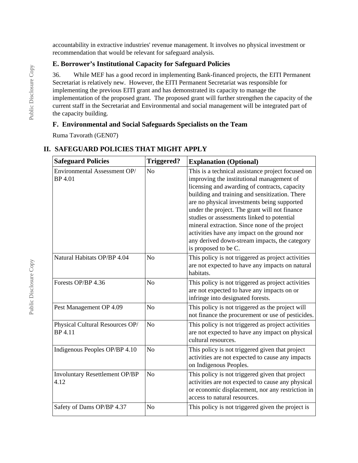accountability in extractive industries' revenue management. It involves no physical investment or recommendation that would be relevant for safeguard analysis.

#### **E. Borrower's Institutional Capacity for Safeguard Policies**

36. While MEF has a good record in implementing Bank-financed projects, the EITI Permanent Secretariat is relatively new. However, the EITI Permanent Secretariat was responsible for implementing the previous EITI grant and has demonstrated its capacity to manage the implementation of the proposed grant. The proposed grant will further strengthen the capacity of the current staff in the Secretariat and Environmental and social management will be integrated part of the capacity building.

### **F. Environmental and Social Safeguards Specialists on the Team**

Ruma Tavorath (GEN07)

| <b>Safeguard Policies</b>                         | <b>Triggered?</b>                                                                                                                              | <b>Explanation (Optional)</b>                                                                                                                                                                                                                                                                                                                                                                                                                                                                                             |  |
|---------------------------------------------------|------------------------------------------------------------------------------------------------------------------------------------------------|---------------------------------------------------------------------------------------------------------------------------------------------------------------------------------------------------------------------------------------------------------------------------------------------------------------------------------------------------------------------------------------------------------------------------------------------------------------------------------------------------------------------------|--|
| Environmental Assessment OP/<br><b>BP</b> 4.01    | N <sub>o</sub>                                                                                                                                 | This is a technical assistance project focused on<br>improving the institutional management of<br>licensing and awarding of contracts, capacity<br>building and training and sensitization. There<br>are no physical investments being supported<br>under the project. The grant will not finance<br>studies or assessments linked to potential<br>mineral extraction. Since none of the project<br>activities have any impact on the ground nor<br>any derived down-stream impacts, the category<br>is proposed to be C. |  |
| Natural Habitats OP/BP 4.04                       | N <sub>o</sub>                                                                                                                                 | This policy is not triggered as project activities<br>are not expected to have any impacts on natural<br>habitats.                                                                                                                                                                                                                                                                                                                                                                                                        |  |
| Forests OP/BP 4.36                                | N <sub>o</sub>                                                                                                                                 | This policy is not triggered as project activities<br>are not expected to have any impacts on or<br>infringe into designated forests.                                                                                                                                                                                                                                                                                                                                                                                     |  |
| Pest Management OP 4.09                           | N <sub>o</sub>                                                                                                                                 | This policy is not triggered as the project will<br>not finance the procurement or use of pesticides.                                                                                                                                                                                                                                                                                                                                                                                                                     |  |
| Physical Cultural Resources OP/<br><b>BP</b> 4.11 | This policy is not triggered as project activities<br>N <sub>o</sub><br>are not expected to have any impact on physical<br>cultural resources. |                                                                                                                                                                                                                                                                                                                                                                                                                                                                                                                           |  |
| Indigenous Peoples OP/BP 4.10                     | N <sub>o</sub>                                                                                                                                 | This policy is not triggered given that project<br>activities are not expected to cause any impacts<br>on Indigenous Peoples.                                                                                                                                                                                                                                                                                                                                                                                             |  |
| <b>Involuntary Resettlement OP/BP</b><br>4.12     | N <sub>o</sub>                                                                                                                                 | This policy is not triggered given that project<br>activities are not expected to cause any physical<br>or economic displacement, nor any restriction in<br>access to natural resources.                                                                                                                                                                                                                                                                                                                                  |  |
| Safety of Dams OP/BP 4.37                         | No                                                                                                                                             | This policy is not triggered given the project is                                                                                                                                                                                                                                                                                                                                                                                                                                                                         |  |

### **II. SAFEGUARD POLICIES THAT MIGHT APPLY**